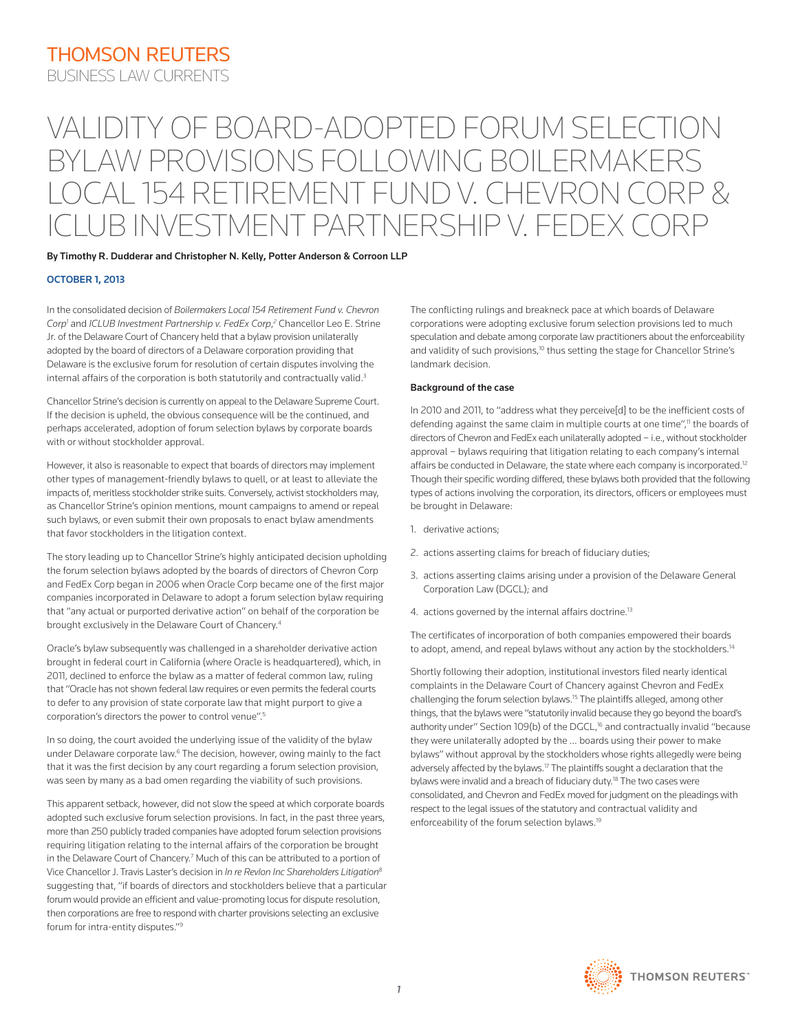# VALIDITY OF BOARD-ADOPTED FORUM SELECTION BYLAW PROVISIONS FOLLOWING BOILERMAKERS LOCAL 154 RETIREMENT FUND V. CHEVRON CORP & ICLUB INVESTMENT PARTNERSHIP V. FEDEX CORP

### By Timothy R. Dudderar and Christopher N. Kelly, Potter Anderson & Corroon LLP

#### OCTOBER 1, 2013

In the consolidated decision of *Boilermakers Local 154 Retirement Fund v. Chevron*  Corp<sup>1</sup> and *ICLUB Investment Partnership v. FedEx Corp*,<sup>2</sup> Chancellor Leo E. Strine Jr. of the Delaware Court of Chancery held that a bylaw provision unilaterally adopted by the board of directors of a Delaware corporation providing that Delaware is the exclusive forum for resolution of certain disputes involving the internal affairs of the corporation is both statutorily and contractually valid.<sup>3</sup>

Chancellor Strine's decision is currently on appeal to the Delaware Supreme Court. If the decision is upheld, the obvious consequence will be the continued, and perhaps accelerated, adoption of forum selection bylaws by corporate boards with or without stockholder approval.

However, it also is reasonable to expect that boards of directors may implement other types of management-friendly bylaws to quell, or at least to alleviate the impacts of, meritless stockholder strike suits. Conversely, activist stockholders may, as Chancellor Strine's opinion mentions, mount campaigns to amend or repeal such bylaws, or even submit their own proposals to enact bylaw amendments that favor stockholders in the litigation context.

The story leading up to Chancellor Strine's highly anticipated decision upholding the forum selection bylaws adopted by the boards of directors of Chevron Corp and FedEx Corp began in 2006 when Oracle Corp became one of the first major companies incorporated in Delaware to adopt a forum selection bylaw requiring that "any actual or purported derivative action" on behalf of the corporation be brought exclusively in the Delaware Court of Chancery.4

Oracle's bylaw subsequently was challenged in a shareholder derivative action brought in federal court in California (where Oracle is headquartered), which, in 2011, declined to enforce the bylaw as a matter of federal common law, ruling that "Oracle has not shown federal law requires or even permits the federal courts to defer to any provision of state corporate law that might purport to give a corporation's directors the power to control venue".5

In so doing, the court avoided the underlying issue of the validity of the bylaw under Delaware corporate law.<sup>6</sup> The decision, however, owing mainly to the fact that it was the first decision by any court regarding a forum selection provision, was seen by many as a bad omen regarding the viability of such provisions.

This apparent setback, however, did not slow the speed at which corporate boards adopted such exclusive forum selection provisions. In fact, in the past three years, more than 250 publicly traded companies have adopted forum selection provisions requiring litigation relating to the internal affairs of the corporation be brought in the Delaware Court of Chancery.<sup>7</sup> Much of this can be attributed to a portion of Vice Chancellor J. Travis Laster's decision in *In re Revlon Inc Shareholders Litigation8* suggesting that, "if boards of directors and stockholders believe that a particular forum would provide an efficient and value-promoting locus for dispute resolution, then corporations are free to respond with charter provisions selecting an exclusive forum for intra-entity disputes."9

The conflicting rulings and breakneck pace at which boards of Delaware corporations were adopting exclusive forum selection provisions led to much speculation and debate among corporate law practitioners about the enforceability and validity of such provisions,<sup>10</sup> thus setting the stage for Chancellor Strine's landmark decision.

#### Background of the case

In 2010 and 2011, to "address what they perceive[d] to be the inefficient costs of defending against the same claim in multiple courts at one time",<sup>11</sup> the boards of directors of Chevron and FedEx each unilaterally adopted – i.e., without stockholder approval – bylaws requiring that litigation relating to each company's internal affairs be conducted in Delaware, the state where each company is incorporated.<sup>12</sup> Though their specific wording differed, these bylaws both provided that the following types of actions involving the corporation, its directors, officers or employees must be brought in Delaware:

- 1. derivative actions;
- 2. actions asserting claims for breach of fiduciary duties;
- 3. actions asserting claims arising under a provision of the Delaware General Corporation Law (DGCL); and
- 4. actions governed by the internal affairs doctrine.<sup>13</sup>

The certificates of incorporation of both companies empowered their boards to adopt, amend, and repeal bylaws without any action by the stockholders.<sup>14</sup>

Shortly following their adoption, institutional investors filed nearly identical complaints in the Delaware Court of Chancery against Chevron and FedEx challenging the forum selection bylaws.15 The plaintiffs alleged, among other things, that the bylaws were "statutorily invalid because they go beyond the board's authority under" Section 109(b) of the DGCL,<sup>16</sup> and contractually invalid "because they were unilaterally adopted by the … boards using their power to make bylaws" without approval by the stockholders whose rights allegedly were being adversely affected by the bylaws.<sup>17</sup> The plaintiffs sought a declaration that the bylaws were invalid and a breach of fiduciary duty.<sup>18</sup> The two cases were consolidated, and Chevron and FedEx moved for judgment on the pleadings with respect to the legal issues of the statutory and contractual validity and enforceability of the forum selection bylaws.<sup>19</sup>

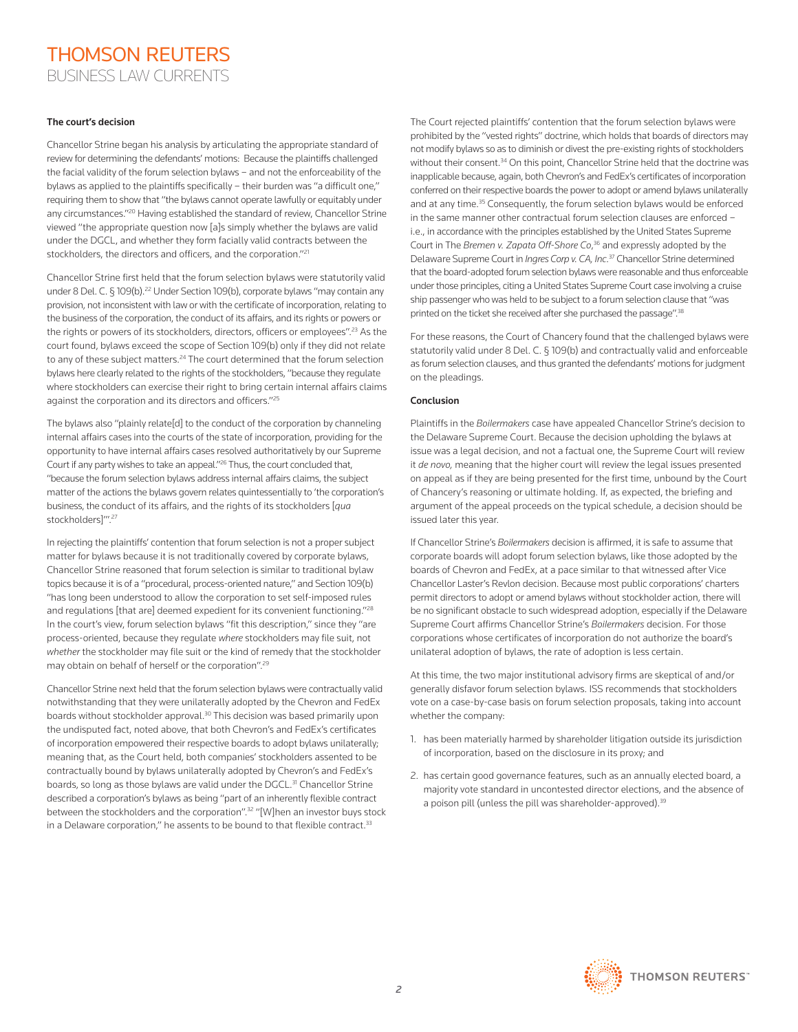## THOMSON REUTERS BUSINESS LAW CURRENTS

#### The court's decision

Chancellor Strine began his analysis by articulating the appropriate standard of review for determining the defendants' motions: Because the plaintiffs challenged the facial validity of the forum selection bylaws – and not the enforceability of the bylaws as applied to the plaintiffs specifically – their burden was "a difficult one," requiring them to show that "the bylaws cannot operate lawfully or equitably under any circumstances."<sup>20</sup> Having established the standard of review, Chancellor Strine viewed "the appropriate question now [a]s simply whether the bylaws are valid under the DGCL, and whether they form facially valid contracts between the stockholders, the directors and officers, and the corporation."<sup>21</sup>

Chancellor Strine first held that the forum selection bylaws were statutorily valid under 8 Del. C. § 109(b).<sup>22</sup> Under Section 109(b), corporate bylaws "may contain any provision, not inconsistent with law or with the certificate of incorporation, relating to the business of the corporation, the conduct of its affairs, and its rights or powers or the rights or powers of its stockholders, directors, officers or employees".<sup>23</sup> As the court found, bylaws exceed the scope of Section 109(b) only if they did not relate to any of these subject matters.<sup>24</sup> The court determined that the forum selection bylaws here clearly related to the rights of the stockholders, "because they regulate where stockholders can exercise their right to bring certain internal affairs claims against the corporation and its directors and officers."25

The bylaws also "plainly relate[d] to the conduct of the corporation by channeling internal affairs cases into the courts of the state of incorporation, providing for the opportunity to have internal affairs cases resolved authoritatively by our Supreme Court if any party wishes to take an appeal."26 Thus, the court concluded that, "because the forum selection bylaws address internal affairs claims, the subject matter of the actions the bylaws govern relates quintessentially to 'the corporation's business, the conduct of its affairs, and the rights of its stockholders [*qua* stockholders]"'.<sup>27</sup>

In rejecting the plaintiffs' contention that forum selection is not a proper subject matter for bylaws because it is not traditionally covered by corporate bylaws, Chancellor Strine reasoned that forum selection is similar to traditional bylaw topics because it is of a "procedural, process-oriented nature," and Section 109(b) "has long been understood to allow the corporation to set self-imposed rules and regulations [that are] deemed expedient for its convenient functioning."28 In the court's view, forum selection bylaws "fit this description," since they "are process-oriented, because they regulate *where* stockholders may file suit, not *whether* the stockholder may file suit or the kind of remedy that the stockholder may obtain on behalf of herself or the corporation".29

Chancellor Strine next held that the forum selection bylaws were contractually valid notwithstanding that they were unilaterally adopted by the Chevron and FedEx boards without stockholder approval.<sup>30</sup> This decision was based primarily upon the undisputed fact, noted above, that both Chevron's and FedEx's certificates of incorporation empowered their respective boards to adopt bylaws unilaterally; meaning that, as the Court held, both companies' stockholders assented to be contractually bound by bylaws unilaterally adopted by Chevron's and FedEx's boards, so long as those bylaws are valid under the DGCL.<sup>31</sup> Chancellor Strine described a corporation's bylaws as being "part of an inherently flexible contract between the stockholders and the corporation".<sup>32</sup> "[W]hen an investor buys stock in a Delaware corporation," he assents to be bound to that flexible contract.<sup>33</sup>

The Court rejected plaintiffs' contention that the forum selection bylaws were prohibited by the "vested rights" doctrine, which holds that boards of directors may not modify bylaws so as to diminish or divest the pre-existing rights of stockholders without their consent.<sup>34</sup> On this point, Chancellor Strine held that the doctrine was inapplicable because, again, both Chevron's and FedEx's certificates of incorporation conferred on their respective boards the power to adopt or amend bylaws unilaterally and at any time.<sup>35</sup> Consequently, the forum selection bylaws would be enforced in the same manner other contractual forum selection clauses are enforced – i.e., in accordance with the principles established by the United States Supreme Court in The *Bremen v. Zapata Off-Shore Co*, 36 and expressly adopted by the Delaware Supreme Court in *Ingres Corp v. CA, Inc*. 37 Chancellor Strine determined that the board-adopted forum selection bylaws were reasonable and thus enforceable under those principles, citing a United States Supreme Court case involving a cruise ship passenger who was held to be subject to a forum selection clause that "was printed on the ticket she received after she purchased the passage".<sup>38</sup>

For these reasons, the Court of Chancery found that the challenged bylaws were statutorily valid under 8 Del. C. § 109(b) and contractually valid and enforceable as forum selection clauses, and thus granted the defendants' motions for judgment on the pleadings.

### Conclusion

Plaintiffs in the *Boilermakers* case have appealed Chancellor Strine's decision to the Delaware Supreme Court. Because the decision upholding the bylaws at issue was a legal decision, and not a factual one, the Supreme Court will review it *de novo,* meaning that the higher court will review the legal issues presented on appeal as if they are being presented for the first time, unbound by the Court of Chancery's reasoning or ultimate holding. If, as expected, the briefing and argument of the appeal proceeds on the typical schedule, a decision should be issued later this year.

If Chancellor Strine's *Boilermakers* decision is affirmed, it is safe to assume that corporate boards will adopt forum selection bylaws, like those adopted by the boards of Chevron and FedEx, at a pace similar to that witnessed after Vice Chancellor Laster's Revlon decision. Because most public corporations' charters permit directors to adopt or amend bylaws without stockholder action, there will be no significant obstacle to such widespread adoption, especially if the Delaware Supreme Court affirms Chancellor Strine's *Boilermakers* decision. For those corporations whose certificates of incorporation do not authorize the board's unilateral adoption of bylaws, the rate of adoption is less certain.

At this time, the two major institutional advisory firms are skeptical of and/or generally disfavor forum selection bylaws. ISS recommends that stockholders vote on a case-by-case basis on forum selection proposals, taking into account whether the company:

- 1. has been materially harmed by shareholder litigation outside its jurisdiction of incorporation, based on the disclosure in its proxy; and
- 2. has certain good governance features, such as an annually elected board, a majority vote standard in uncontested director elections, and the absence of a poison pill (unless the pill was shareholder-approved).<sup>39</sup>

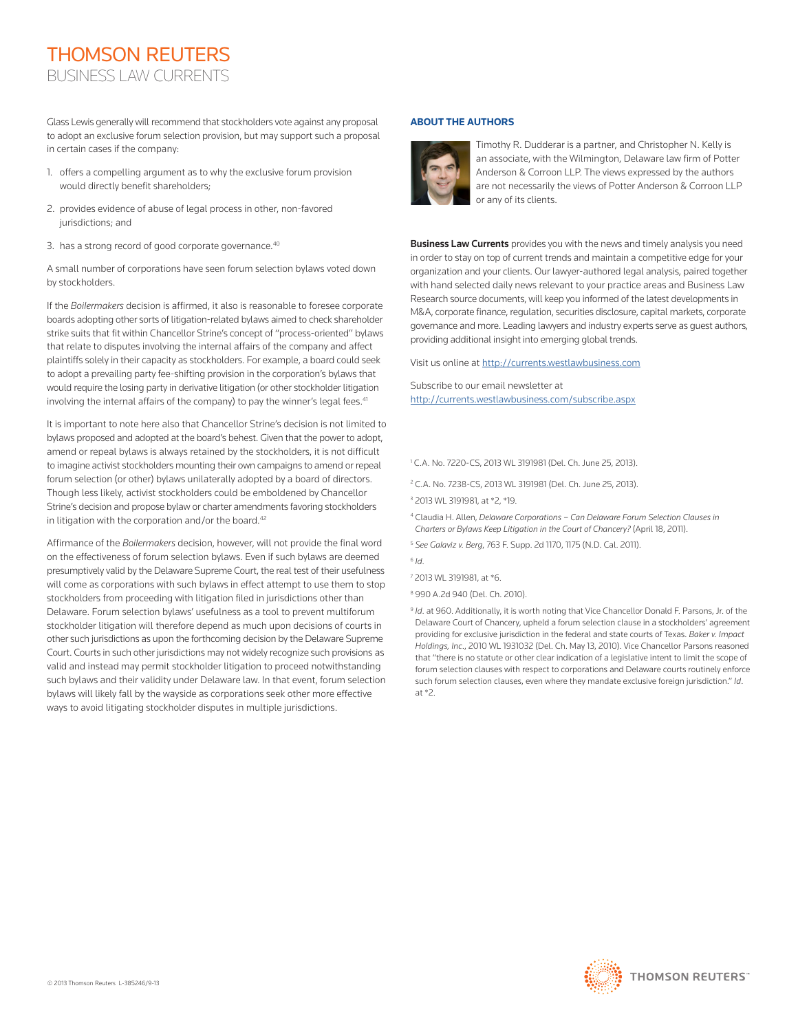# THOMSON REUTERS BUSINESS LAW CURRENTS

Glass Lewis generally will recommend that stockholders vote against any proposal to adopt an exclusive forum selection provision, but may support such a proposal in certain cases if the company:

- 1. offers a compelling argument as to why the exclusive forum provision would directly benefit shareholders;
- 2. provides evidence of abuse of legal process in other, non-favored jurisdictions; and
- 3. has a strong record of good corporate governance.<sup>40</sup>

A small number of corporations have seen forum selection bylaws voted down by stockholders.

If the *Boilermakers* decision is affirmed, it also is reasonable to foresee corporate boards adopting other sorts of litigation-related bylaws aimed to check shareholder strike suits that fit within Chancellor Strine's concept of "process-oriented" bylaws that relate to disputes involving the internal affairs of the company and affect plaintiffs solely in their capacity as stockholders. For example, a board could seek to adopt a prevailing party fee-shifting provision in the corporation's bylaws that would require the losing party in derivative litigation (or other stockholder litigation involving the internal affairs of the company) to pay the winner's legal fees.<sup>41</sup>

It is important to note here also that Chancellor Strine's decision is not limited to bylaws proposed and adopted at the board's behest. Given that the power to adopt, amend or repeal bylaws is always retained by the stockholders, it is not difficult to imagine activist stockholders mounting their own campaigns to amend or repeal forum selection (or other) bylaws unilaterally adopted by a board of directors. Though less likely, activist stockholders could be emboldened by Chancellor Strine's decision and propose bylaw or charter amendments favoring stockholders in litigation with the corporation and/or the board. $42$ 

Affirmance of the *Boilermakers* decision, however, will not provide the final word on the effectiveness of forum selection bylaws. Even if such bylaws are deemed presumptively valid by the Delaware Supreme Court, the real test of their usefulness will come as corporations with such bylaws in effect attempt to use them to stop stockholders from proceeding with litigation filed in jurisdictions other than Delaware. Forum selection bylaws' usefulness as a tool to prevent multiforum stockholder litigation will therefore depend as much upon decisions of courts in other such jurisdictions as upon the forthcoming decision by the Delaware Supreme Court. Courts in such other jurisdictions may not widely recognize such provisions as valid and instead may permit stockholder litigation to proceed notwithstanding such bylaws and their validity under Delaware law. In that event, forum selection bylaws will likely fall by the wayside as corporations seek other more effective ways to avoid litigating stockholder disputes in multiple jurisdictions.

#### **ABOUT THE AUTHORS**



Timothy R. Dudderar is a partner, and Christopher N. Kelly is an associate, with the Wilmington, Delaware law firm of Potter Anderson & Corroon LLP. The views expressed by the authors are not necessarily the views of Potter Anderson & Corroon LLP or any of its clients.

Business Law Currents provides you with the news and timely analysis you need in order to stay on top of current trends and maintain a competitive edge for your organization and your clients. Our lawyer-authored legal analysis, paired together with hand selected daily news relevant to your practice areas and Business Law Research source documents, will keep you informed of the latest developments in M&A, corporate finance, regulation, securities disclosure, capital markets, corporate governance and more. Leading lawyers and industry experts serve as guest authors, providing additional insight into emerging global trends.

Visit us online at<http://currents.westlawbusiness.com>

Subscribe to our email newsletter at [http://currents.westlawbusiness.com/subscribe.aspx](http://currents.westlawbusiness.com/Subscription.aspx?cid=&src=&sp)

- <sup>1</sup> C.A. No. 7220-CS, 2013 WL 3191981 (Del. Ch. June 25, 2013).
- <sup>2</sup> C.A. No. 7238-CS, 2013 WL 3191981 (Del. Ch. June 25, 2013).
- <sup>3</sup> 2013 WL 3191981, at \*2, \*19.
- <sup>4</sup> Claudia H. Allen, *Delaware Corporations Can Delaware Forum Selection Clauses in Charters or Bylaws Keep Litigation in the Court of Chancery?* (April 18, 2011).
- <sup>5</sup> *See Galaviz v. Berg*, 763 F. Supp. 2d 1170, 1175 (N.D. Cal. 2011).
- <sup>6</sup> *Id*.
- <sup>7</sup> 2013 WL 3191981, at \*6.
- <sup>8</sup> 990 A.2d 940 (Del. Ch. 2010).
- <sup>9</sup> *Id.* at 960. Additionally, it is worth noting that Vice Chancellor Donald F. Parsons, Jr. of the Delaware Court of Chancery, upheld a forum selection clause in a stockholders' agreement providing for exclusive jurisdiction in the federal and state courts of Texas. *Baker v. Impact Holdings, Inc*., 2010 WL 1931032 (Del. Ch. May 13, 2010). Vice Chancellor Parsons reasoned that "there is no statute or other clear indication of a legislative intent to limit the scope of forum selection clauses with respect to corporations and Delaware courts routinely enforce such forum selection clauses, even where they mandate exclusive foreign jurisdiction." *Id*. at \*2.